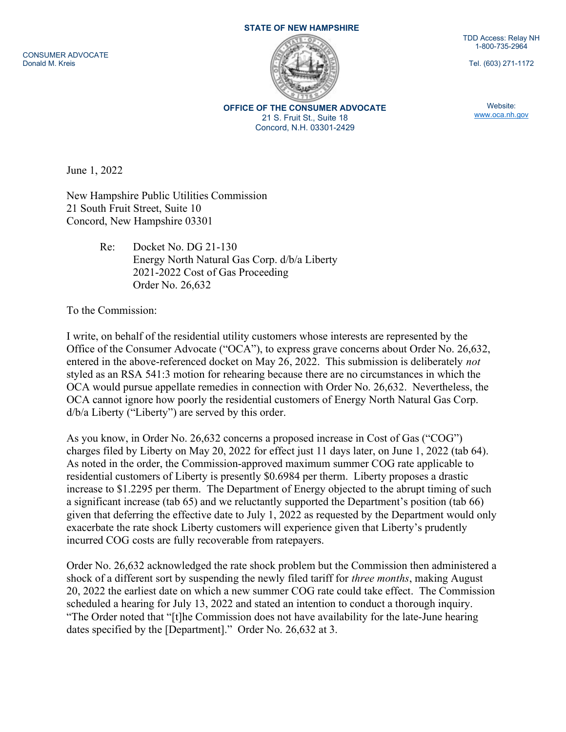CONSUMER ADVOCATE Donald M. Kreis

## STATE OF NEW HAMPSHIRE



OFFICE OF THE CONSUMER ADVOCATE 21 S. Fruit St., Suite 18 Concord, N.H. 03301-2429

TDD Access: Relay NH 1-800-735-2964

Tel. (603) 271-1172

Website: www.oca.nh.gov

June 1, 2022

New Hampshire Public Utilities Commission 21 South Fruit Street, Suite 10 Concord, New Hampshire 03301

> Re: Docket No. DG 21-130 Energy North Natural Gas Corp. d/b/a Liberty 2021-2022 Cost of Gas Proceeding Order No. 26,632

To the Commission:

I write, on behalf of the residential utility customers whose interests are represented by the Office of the Consumer Advocate ("OCA"), to express grave concerns about Order No. 26,632, entered in the above-referenced docket on May 26, 2022. This submission is deliberately not styled as an RSA 541:3 motion for rehearing because there are no circumstances in which the OCA would pursue appellate remedies in connection with Order No. 26,632. Nevertheless, the OCA cannot ignore how poorly the residential customers of Energy North Natural Gas Corp. d/b/a Liberty ("Liberty") are served by this order.

As you know, in Order No. 26,632 concerns a proposed increase in Cost of Gas ("COG") charges filed by Liberty on May 20, 2022 for effect just 11 days later, on June 1, 2022 (tab 64). As noted in the order, the Commission-approved maximum summer COG rate applicable to residential customers of Liberty is presently \$0.6984 per therm. Liberty proposes a drastic increase to \$1.2295 per therm. The Department of Energy objected to the abrupt timing of such a significant increase (tab 65) and we reluctantly supported the Department's position (tab 66) given that deferring the effective date to July 1, 2022 as requested by the Department would only exacerbate the rate shock Liberty customers will experience given that Liberty's prudently incurred COG costs are fully recoverable from ratepayers.

Order No. 26,632 acknowledged the rate shock problem but the Commission then administered a shock of a different sort by suspending the newly filed tariff for *three months*, making August 20, 2022 the earliest date on which a new summer COG rate could take effect. The Commission scheduled a hearing for July 13, 2022 and stated an intention to conduct a thorough inquiry. "The Order noted that "[t]he Commission does not have availability for the late-June hearing dates specified by the [Department]." Order No. 26,632 at 3.